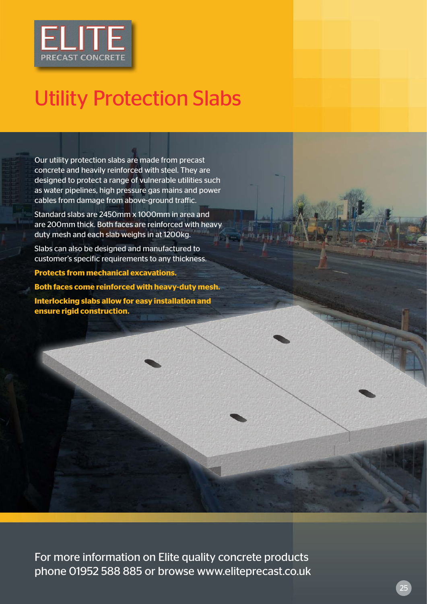

## Utility Protection Slabs

Our utility protection slabs are made from precast concrete and heavily reinforced with steel. They are designed to protect a range of vulnerable utilities such as water pipelines, high pressure gas mains and power cables from damage from above-ground traffic.

Standard slabs are 2450mm x 1000mm in area and are 200mm thick. Both faces are reinforced with heavy duty mesh and each slab weighs in at 1200kg.

Slabs can also be designed and manufactured to customer's specific requirements to any thickness.

**Protects from mechanical excavations.**

**Both faces come reinforced with heavy-duty mesh. Interlocking slabs allow for easy installation and ensure rigid construction.**

For more information on Elite quality concrete products phone 01952 588 885 or browse www.eliteprecast.co.uk